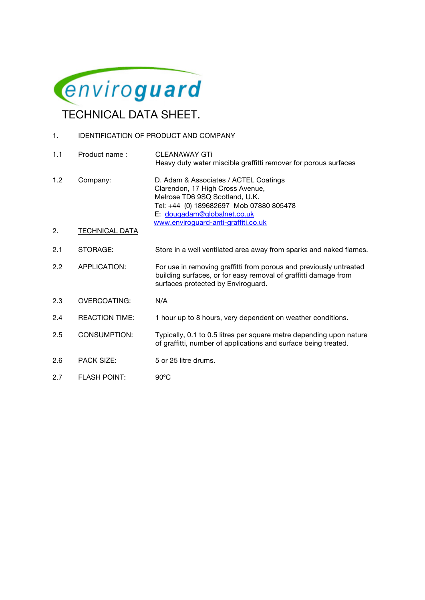

# 1. **IDENTIFICATION OF PRODUCT AND COMPANY**

| 1.1 | Product name:         | <b>CLEANAWAY GTi</b><br>Heavy duty water miscible graffitti remover for porous surfaces                                                                                                                                      |
|-----|-----------------------|------------------------------------------------------------------------------------------------------------------------------------------------------------------------------------------------------------------------------|
| 1.2 | Company:              | D. Adam & Associates / ACTEL Coatings<br>Clarendon, 17 High Cross Avenue,<br>Melrose TD6 9SQ Scotland, U.K.<br>Tel: +44 (0) 189682697 Mob 07880 805478<br>E: dougadam@globalnet.co.uk<br>www.enviroguard-anti-graffiti.co.uk |
| 2.  | <b>TECHNICAL DATA</b> |                                                                                                                                                                                                                              |
| 2.1 | STORAGE:              | Store in a well ventilated area away from sparks and naked flames.                                                                                                                                                           |
| 2.2 | APPLICATION:          | For use in removing graffitti from porous and previously untreated<br>building surfaces, or for easy removal of graffitti damage from<br>surfaces protected by Enviroguard.                                                  |
| 2.3 | <b>OVERCOATING:</b>   | N/A                                                                                                                                                                                                                          |
| 2.4 | <b>REACTION TIME:</b> | 1 hour up to 8 hours, very dependent on weather conditions.                                                                                                                                                                  |
| 2.5 | <b>CONSUMPTION:</b>   | Typically, 0.1 to 0.5 litres per square metre depending upon nature<br>of graffitti, number of applications and surface being treated.                                                                                       |
| 2.6 | <b>PACK SIZE:</b>     | 5 or 25 litre drums.                                                                                                                                                                                                         |
| 2.7 | <b>FLASH POINT:</b>   | $90^{\circ}$ C                                                                                                                                                                                                               |